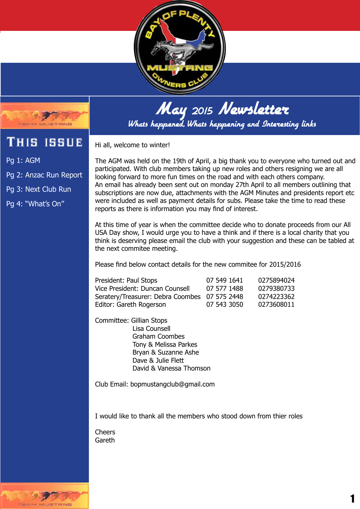



# **`HIS ISSUE**

Pg 1: AGM

Pg 2: Anzac Run Report

Pg 3: Next Club Run

Pg 4: "What's On"

Hi all, welcome to winter!

The AGM was held on the 19th of April, a big thank you to everyone who turned out and participated. With club members taking up new roles and others resigning we are all looking forward to more fun times on the road and with each others company. An email has already been sent out on monday 27th April to all members outlining that subscriptions are now due, attachments with the AGM Minutes and presidents report etc were included as well as payment details for subs. Please take the time to read these reports as there is information you may find of interest.

At this time of year is when the committee decide who to donate proceeds from our All USA Day show, I would urge you to have a think and if there is a local charity that you think is deserving please email the club with your suggestion and these can be tabled at the next commitee meeting.

Please find below contact details for the new commitee for 2015/2016

| President: Paul Stops                         | 07 549 1641 | 0275894024 |
|-----------------------------------------------|-------------|------------|
| Vice President: Duncan Counsell               | 07 577 1488 | 0279380733 |
| Seratery/Treasurer: Debra Coombes 07 575 2448 |             | 0274223362 |
| Editor: Gareth Rogerson                       | 07 543 3050 | 0273608011 |

Committee: Gillian Stops Lisa Counsell Graham Coombes Tony & Melissa Parkes Bryan & Suzanne Ashe Dave & Julie Flett David & Vanessa Thomson

Club Email: bopmustangclub@gmail.com

I would like to thank all the members who stood down from thier roles

Cheers Gareth

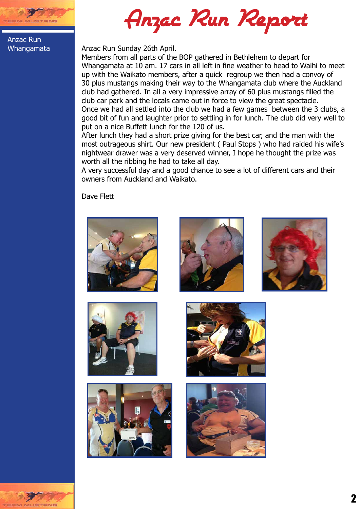

Anzac Run Report

Anzac Run Whangamata

### Anzac Run Sunday 26th April.

Members from all parts of the BOP gathered in Bethlehem to depart for Whangamata at 10 am. 17 cars in all left in fine weather to head to Waihi to meet up with the Waikato members, after a quick regroup we then had a convoy of 30 plus mustangs making their way to the Whangamata club where the Auckland club had gathered. In all a very impressive array of 60 plus mustangs filled the club car park and the locals came out in force to view the great spectacle. Once we had all settled into the club we had a few games between the 3 clubs, a good bit of fun and laughter prior to settling in for lunch. The club did very well to put on a nice Buffett lunch for the 120 of us.

After lunch they had a short prize giving for the best car, and the man with the most outrageous shirt. Our new president ( Paul Stops ) who had raided his wife's nightwear drawer was a very deserved winner, I hope he thought the prize was worth all the ribbing he had to take all day.

A very successful day and a good chance to see a lot of different cars and their owners from Auckland and Waikato.

Dave Flett















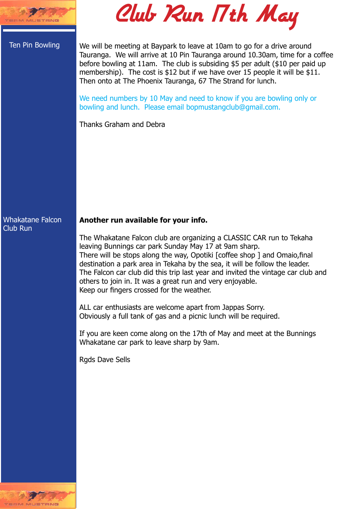